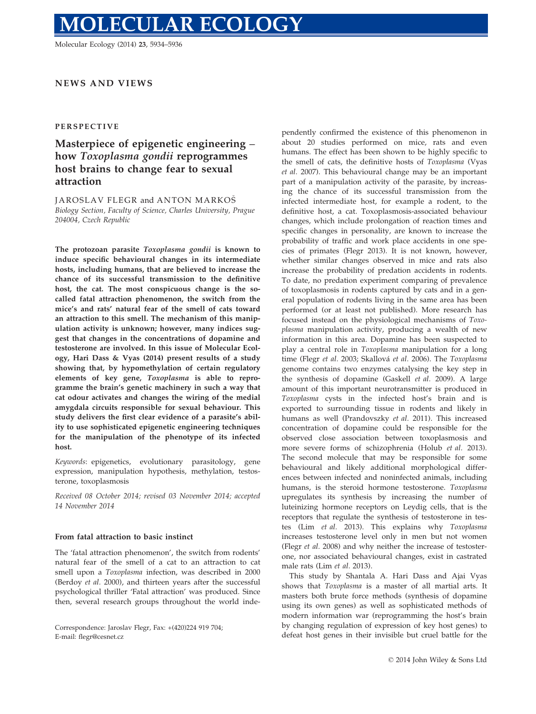# **DLECULAR ECOLOGY**

Molecular Ecology (2014) 23, 5934–5936

## NEWS AND VIEWS

### PERSPECTIVE

# Masterpiece of epigenetic engineering – how Toxoplasma gondii reprogrammes host brains to change fear to sexual attraction

JAROSLAV FLEGR and ANTON MARKOŠ Biology Section, Faculty of Science, Charles University, Prague 204004, Czech Republic

The protozoan parasite Toxoplasma gondii is known to induce specific behavioural changes in its intermediate hosts, including humans, that are believed to increase the chance of its successful transmission to the definitive host, the cat. The most conspicuous change is the socalled fatal attraction phenomenon, the switch from the mice's and rats' natural fear of the smell of cats toward an attraction to this smell. The mechanism of this manipulation activity is unknown; however, many indices suggest that changes in the concentrations of dopamine and testosterone are involved. In this issue of Molecular Ecology, Hari Dass & Vyas (2014) present results of a study showing that, by hypomethylation of certain regulatory elements of key gene, Toxoplasma is able to reprogramme the brain's genetic machinery in such a way that cat odour activates and changes the wiring of the medial amygdala circuits responsible for sexual behaviour. This study delivers the first clear evidence of a parasite's ability to use sophisticated epigenetic engineering techniques for the manipulation of the phenotype of its infected host.

Keywords: epigenetics, evolutionary parasitology, gene expression, manipulation hypothesis, methylation, testosterone, toxoplasmosis

Received 08 October 2014; revised 03 November 2014; accepted 14 November 2014

#### From fatal attraction to basic instinct

The 'fatal attraction phenomenon', the switch from rodents' natural fear of the smell of a cat to an attraction to cat smell upon a Toxoplasma infection, was described in 2000 (Berdoy et al. 2000), and thirteen years after the successful psychological thriller 'Fatal attraction' was produced. Since then, several research groups throughout the world inde-

Correspondence: Jaroslav Flegr, Fax: +(420)224 919 704; E-mail: flegr@cesnet.cz

pendently confirmed the existence of this phenomenon in about 20 studies performed on mice, rats and even humans. The effect has been shown to be highly specific to the smell of cats, the definitive hosts of Toxoplasma (Vyas et al. 2007). This behavioural change may be an important part of a manipulation activity of the parasite, by increasing the chance of its successful transmission from the infected intermediate host, for example a rodent, to the definitive host, a cat. Toxoplasmosis-associated behaviour changes, which include prolongation of reaction times and specific changes in personality, are known to increase the probability of traffic and work place accidents in one species of primates (Flegr 2013). It is not known, however, whether similar changes observed in mice and rats also increase the probability of predation accidents in rodents. To date, no predation experiment comparing of prevalence of toxoplasmosis in rodents captured by cats and in a general population of rodents living in the same area has been performed (or at least not published). More research has focused instead on the physiological mechanisms of Toxoplasma manipulation activity, producing a wealth of new information in this area. Dopamine has been suspected to play a central role in Toxoplasma manipulation for a long time (Flegr et al. 2003; Skallová et al. 2006). The Toxoplasma genome contains two enzymes catalysing the key step in the synthesis of dopamine (Gaskell et al. 2009). A large amount of this important neurotransmitter is produced in Toxoplasma cysts in the infected host's brain and is exported to surrounding tissue in rodents and likely in humans as well (Prandovszky et al. 2011). This increased concentration of dopamine could be responsible for the observed close association between toxoplasmosis and more severe forms of schizophrenia (Holub et al. 2013). The second molecule that may be responsible for some behavioural and likely additional morphological differences between infected and noninfected animals, including humans, is the steroid hormone testosterone. Toxoplasma upregulates its synthesis by increasing the number of luteinizing hormone receptors on Leydig cells, that is the receptors that regulate the synthesis of testosterone in testes (Lim et al. 2013). This explains why Toxoplasma increases testosterone level only in men but not women (Flegr et al. 2008) and why neither the increase of testosterone, nor associated behavioural changes, exist in castrated male rats (Lim et al. 2013).

This study by Shantala A. Hari Dass and Ajai Vyas shows that Toxoplasma is a master of all martial arts. It masters both brute force methods (synthesis of dopamine using its own genes) as well as sophisticated methods of modern information war (reprogramming the host's brain by changing regulation of expression of key host genes) to defeat host genes in their invisible but cruel battle for the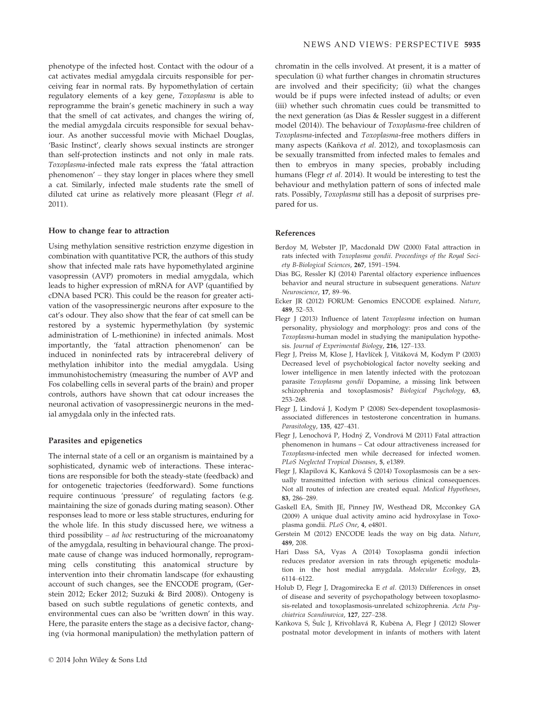phenotype of the infected host. Contact with the odour of a cat activates medial amygdala circuits responsible for perceiving fear in normal rats. By hypomethylation of certain regulatory elements of a key gene, Toxoplasma is able to reprogramme the brain's genetic machinery in such a way that the smell of cat activates, and changes the wiring of, the medial amygdala circuits responsible for sexual behaviour. As another successful movie with Michael Douglas, 'Basic Instinct', clearly shows sexual instincts are stronger than self-protection instincts and not only in male rats. Toxoplasma-infected male rats express the 'fatal attraction phenomenon' – they stay longer in places where they smell a cat. Similarly, infected male students rate the smell of diluted cat urine as relatively more pleasant (Flegr et al. 2011).

#### How to change fear to attraction

Using methylation sensitive restriction enzyme digestion in combination with quantitative PCR, the authors of this study show that infected male rats have hypomethylated arginine vasopressin (AVP) promoters in medial amygdala, which leads to higher expression of mRNA for AVP (quantified by cDNA based PCR). This could be the reason for greater activation of the vasopressinergic neurons after exposure to the cat's odour. They also show that the fear of cat smell can be restored by a systemic hypermethylation (by systemic administration of L-methionine) in infected animals. Most importantly, the 'fatal attraction phenomenon' can be induced in noninfected rats by intracerebral delivery of methylation inhibitor into the medial amygdala. Using immunohistochemistry (measuring the number of AVP and Fos colabelling cells in several parts of the brain) and proper controls, authors have shown that cat odour increases the neuronal activation of vasopressinergic neurons in the medial amygdala only in the infected rats.

#### Parasites and epigenetics

The internal state of a cell or an organism is maintained by a sophisticated, dynamic web of interactions. These interactions are responsible for both the steady-state (feedback) and for ontogenetic trajectories (feedforward). Some functions require continuous 'pressure' of regulating factors (e.g. maintaining the size of gonads during mating season). Other responses lead to more or less stable structures, enduring for the whole life. In this study discussed here, we witness a third possibility –  $ad$  hoc restructuring of the microanatomy of the amygdala, resulting in behavioural change. The proximate cause of change was induced hormonally, reprogramming cells constituting this anatomical structure by intervention into their chromatin landscape (for exhausting account of such changes, see the ENCODE program, (Gerstein 2012; Ecker 2012; Suzuki & Bird 2008)). Ontogeny is based on such subtle regulations of genetic contexts, and environmental cues can also be 'written down' in this way. Here, the parasite enters the stage as a decisive factor, changing (via hormonal manipulation) the methylation pattern of chromatin in the cells involved. At present, it is a matter of speculation (i) what further changes in chromatin structures are involved and their specificity; (ii) what the changes would be if pups were infected instead of adults; or even (iii) whether such chromatin cues could be transmitted to the next generation (as Dias & Ressler suggest in a different model (2014)). The behaviour of Toxoplasma-free children of Toxoplasma-infected and Toxoplasma-free mothers differs in many aspects (Kaňkova et al. 2012), and toxoplasmosis can be sexually transmitted from infected males to females and then to embryos in many species, probably including humans (Flegr et al. 2014). It would be interesting to test the behaviour and methylation pattern of sons of infected male rats. Possibly, Toxoplasma still has a deposit of surprises prepared for us.

#### References

- Berdoy M, Webster JP, Macdonald DW (2000) Fatal attraction in rats infected with Toxoplasma gondii. Proceedings of the Royal Society B-Biological Sciences, 267, 1591–1594.
- Dias BG, Ressler KJ (2014) Parental olfactory experience influences behavior and neural structure in subsequent generations. Nature Neuroscience, 17, 89–96.
- Ecker JR (2012) FORUM: Genomics ENCODE explained. Nature, 489, 52–53.
- Flegr J (2013) Influence of latent Toxoplasma infection on human personality, physiology and morphology: pros and cons of the Toxoplasma-human model in studying the manipulation hypothesis. Journal of Experimental Biology, 216, 127–133.
- Flegr J, Preiss M, Klose J, Havlíček J, Vitáková M, Kodym P (2003) Decreased level of psychobiological factor novelty seeking and lower intelligence in men latently infected with the protozoan parasite Toxoplasma gondii Dopamine, a missing link between schizophrenia and toxoplasmosis? Biological Psychology, 63, 253–268.
- Flegr J, Lindová J, Kodym P (2008) Sex-dependent toxoplasmosisassociated differences in testosterone concentration in humans. Parasitology, 135, 427–431.
- Flegr J, Lenochová P, Hodný Z, Vondrová M (2011) Fatal attraction phenomenon in humans – Cat odour attractiveness increased for Toxoplasma-infected men while decreased for infected women. PLoS Neglected Tropical Diseases, 5, e1389.
- Flegr J, Klapilová K, Kaňková Š (2014) Toxoplasmosis can be a sexually transmitted infection with serious clinical consequences. Not all routes of infection are created equal. Medical Hypotheses, 83, 286–289.
- Gaskell EA, Smith JE, Pinney JW, Westhead DR, Mcconkey GA (2009) A unique dual activity amino acid hydroxylase in Toxoplasma gondii. PLoS One, 4, e4801.
- Gerstein M (2012) ENCODE leads the way on big data. Nature, 489, 208.
- Hari Dass SA, Vyas A (2014) Toxoplasma gondii infection reduces predator aversion in rats through epigenetic modulation in the host medial amygdala. Molecular Ecology, 23, 6114–6122.
- Holub D, Flegr J, Dragomirecka E et al. (2013) Differences in onset of disease and severity of psychopathology between toxoplasmosis-related and toxoplasmosis-unrelated schizophrenia. Acta Psychiatrica Scandinavica, 127, 227–238.
- Kaňkova S, Šulc J, Křivohlavá R, Kuběna A, Flegr J (2012) Slower postnatal motor development in infants of mothers with latent